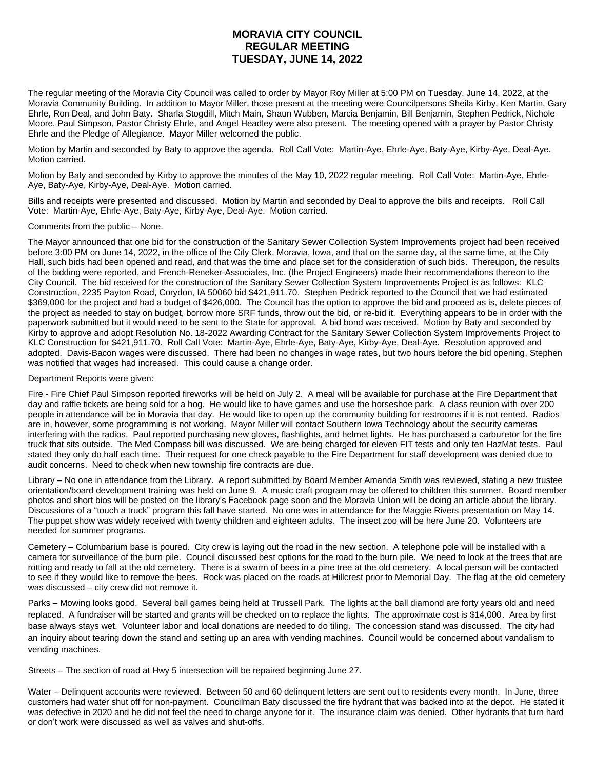## **MORAVIA CITY COUNCIL REGULAR MEETING TUESDAY, JUNE 14, 2022**

The regular meeting of the Moravia City Council was called to order by Mayor Roy Miller at 5:00 PM on Tuesday, June 14, 2022, at the Moravia Community Building. In addition to Mayor Miller, those present at the meeting were Councilpersons Sheila Kirby, Ken Martin, Gary Ehrle, Ron Deal, and John Baty. Sharla Stogdill, Mitch Main, Shaun Wubben, Marcia Benjamin, Bill Benjamin, Stephen Pedrick, Nichole Moore, Paul Simpson, Pastor Christy Ehrle, and Angel Headley were also present. The meeting opened with a prayer by Pastor Christy Ehrle and the Pledge of Allegiance. Mayor Miller welcomed the public.

Motion by Martin and seconded by Baty to approve the agenda. Roll Call Vote: Martin-Aye, Ehrle-Aye, Baty-Aye, Kirby-Aye, Deal-Aye. Motion carried.

Motion by Baty and seconded by Kirby to approve the minutes of the May 10, 2022 regular meeting. Roll Call Vote: Martin-Aye, Ehrle-Aye, Baty-Aye, Kirby-Aye, Deal-Aye. Motion carried.

Bills and receipts were presented and discussed. Motion by Martin and seconded by Deal to approve the bills and receipts. Roll Call Vote: Martin-Aye, Ehrle-Aye, Baty-Aye, Kirby-Aye, Deal-Aye. Motion carried.

Comments from the public – None.

The Mayor announced that one bid for the construction of the Sanitary Sewer Collection System Improvements project had been received before 3:00 PM on June 14, 2022, in the office of the City Clerk, Moravia, Iowa, and that on the same day, at the same time, at the City Hall, such bids had been opened and read, and that was the time and place set for the consideration of such bids. Thereupon, the results of the bidding were reported, and French-Reneker-Associates, Inc. (the Project Engineers) made their recommendations thereon to the City Council. The bid received for the construction of the Sanitary Sewer Collection System Improvements Project is as follows: KLC Construction, 2235 Payton Road, Corydon, IA 50060 bid \$421,911.70. Stephen Pedrick reported to the Council that we had estimated \$369,000 for the project and had a budget of \$426,000. The Council has the option to approve the bid and proceed as is, delete pieces of the project as needed to stay on budget, borrow more SRF funds, throw out the bid, or re-bid it. Everything appears to be in order with the paperwork submitted but it would need to be sent to the State for approval. A bid bond was received. Motion by Baty and seconded by Kirby to approve and adopt Resolution No. 18-2022 Awarding Contract for the Sanitary Sewer Collection System Improvements Project to KLC Construction for \$421,911.70. Roll Call Vote: Martin-Aye, Ehrle-Aye, Baty-Aye, Kirby-Aye, Deal-Aye. Resolution approved and adopted. Davis-Bacon wages were discussed. There had been no changes in wage rates, but two hours before the bid opening, Stephen was notified that wages had increased. This could cause a change order.

## Department Reports were given:

Fire - Fire Chief Paul Simpson reported fireworks will be held on July 2. A meal will be available for purchase at the Fire Department that day and raffle tickets are being sold for a hog. He would like to have games and use the horseshoe park. A class reunion with over 200 people in attendance will be in Moravia that day. He would like to open up the community building for restrooms if it is not rented. Radios are in, however, some programming is not working. Mayor Miller will contact Southern Iowa Technology about the security cameras interfering with the radios. Paul reported purchasing new gloves, flashlights, and helmet lights. He has purchased a carburetor for the fire truck that sits outside. The Med Compass bill was discussed. We are being charged for eleven FIT tests and only ten HazMat tests. Paul stated they only do half each time. Their request for one check payable to the Fire Department for staff development was denied due to audit concerns. Need to check when new township fire contracts are due.

Library – No one in attendance from the Library. A report submitted by Board Member Amanda Smith was reviewed, stating a new trustee orientation/board development training was held on June 9. A music craft program may be offered to children this summer. Board member photos and short bios will be posted on the library's Facebook page soon and the Moravia Union will be doing an article about the library. Discussions of a "touch a truck" program this fall have started. No one was in attendance for the Maggie Rivers presentation on May 14. The puppet show was widely received with twenty children and eighteen adults. The insect zoo will be here June 20. Volunteers are needed for summer programs.

Cemetery – Columbarium base is poured. City crew is laying out the road in the new section. A telephone pole will be installed with a camera for surveillance of the burn pile. Council discussed best options for the road to the burn pile. We need to look at the trees that are rotting and ready to fall at the old cemetery. There is a swarm of bees in a pine tree at the old cemetery. A local person will be contacted to see if they would like to remove the bees. Rock was placed on the roads at Hillcrest prior to Memorial Day. The flag at the old cemetery was discussed – city crew did not remove it.

Parks – Mowing looks good. Several ball games being held at Trussell Park. The lights at the ball diamond are forty years old and need replaced. A fundraiser will be started and grants will be checked on to replace the lights. The approximate cost is \$14,000. Area by first base always stays wet. Volunteer labor and local donations are needed to do tiling. The concession stand was discussed. The city had an inquiry about tearing down the stand and setting up an area with vending machines. Council would be concerned about vandalism to vending machines.

Streets – The section of road at Hwy 5 intersection will be repaired beginning June 27.

Water – Delinquent accounts were reviewed. Between 50 and 60 delinquent letters are sent out to residents every month. In June, three customers had water shut off for non-payment. Councilman Baty discussed the fire hydrant that was backed into at the depot. He stated it was defective in 2020 and he did not feel the need to charge anyone for it. The insurance claim was denied. Other hydrants that turn hard or don't work were discussed as well as valves and shut-offs.